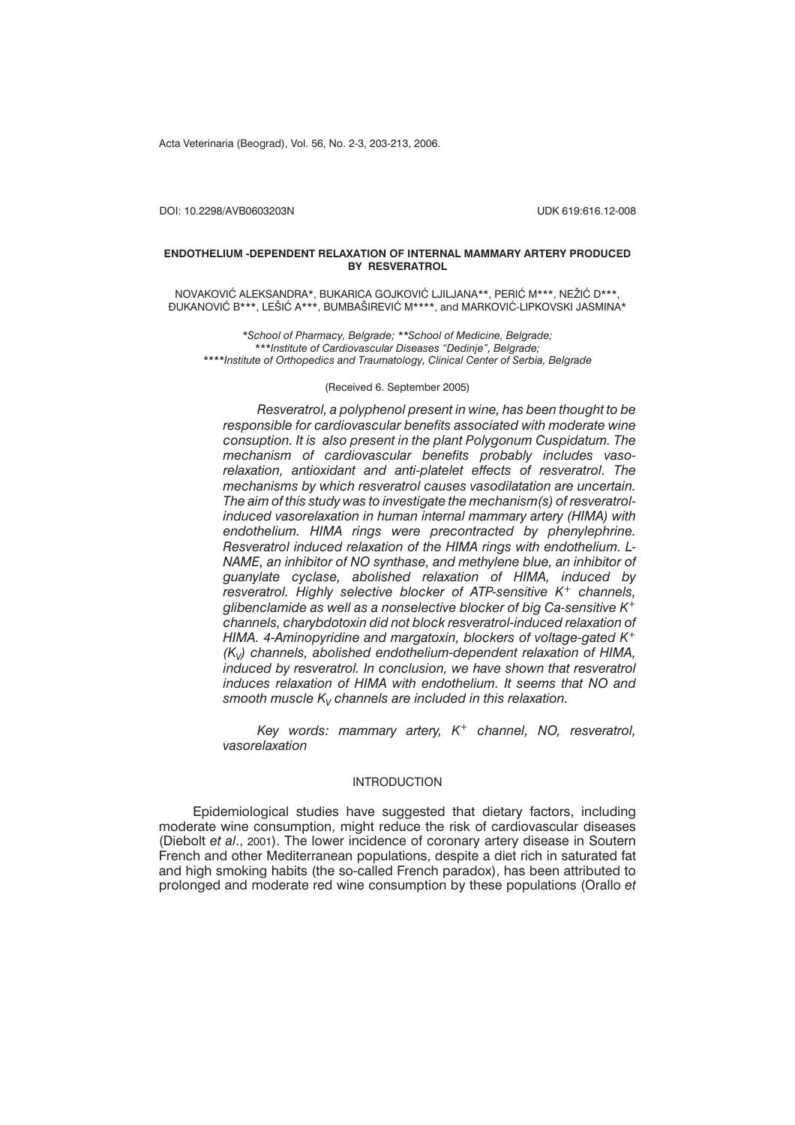Acta Veterinaria (Beograd), Vol. 56, No. 2-3, 203-213, 2006.

DOI: 10.2298/AVB0603203N UDK 619:616.12-008

### **ENDOTHELIUM -DEPENDENT RELAXATION OF INTERNAL MAMMARY ARTERY PRODUCED BY RESVERATROL**

NOVAKOVIC ALEKSANDRA\*, BUKARICA GOJKOVIC LJILJANA\*\*, PERIC M\*\*\*, NEŽIC D\*\*\*, \UKANOVI] B\*\*\*, LE[I] A\*\*\*, BUMBA[IREVI] M\*\*\*\*, and MARKOVI]-LIPKOVSKI JASMINA\*

*\*School of Pharmacy, Belgrade; \*\*School of Medicine, Belgrade; \*\*\*Institute of Cardiovascular Diseases "Dedinje", Belgrade; \*\*\*\*Institute of Orthopedics and Traumatology, Clinical Center of Serbia, Belgrade*

## (Received 6. September 2005)

*Resveratrol, a polyphenol present in wine, has been thought to be responsible for cardiovascular benefits associated with moderate wine consuption. It is also present in the plant Polygonum Cuspidatum. The mechanism of cardiovascular benefits probably includes vasorelaxation, antioxidant and anti-platelet effects of resveratrol. The mechanisms by which resveratrol causes vasodilatation are uncertain. The aim of this study was to investigate the mechanism(s) of resveratrolinduced vasorelaxation in human internal mammary artery (HIMA) with endothelium. HIMA rings were precontracted by phenylephrine. Resveratrol induced relaxation of the HIMA rings with endothelium. L-NAME, an inhibitor of NO synthase, and methylene blue, an inhibitor of guanylate cyclase, abolished relaxation of HIMA, induced by resveratrol. Highly selective blocker of ATP-sensitive K<sup>+</sup> channels, glibenclamide as well as a nonselective blocker of big Ca-sensitive K<sup>+</sup> channels, charybdotoxin did not block resveratrol-induced relaxation of HIMA. 4-Aminopyridine and margatoxin, blockers of voltage-gated K<sup>+</sup> (KV) channels, abolished endothelium-dependent relaxation of HIMA, induced by resveratrol. In conclusion, we have shown that resveratrol induces relaxation of HIMA with endothelium. It seems that NO and smooth muscle KV channels are included in this relaxation.*

*Key words: mammary artery, K*<sup>+</sup> *channel, NO, resveratrol, vasorelaxation*

# INTRODUCTION

Epidemiological studies have suggested that dietary factors, including moderate wine consumption, might reduce the risk of cardiovascular diseases (Diebolt *et al*., 2001). The lower incidence of coronary artery disease in Soutern French and other Mediterranean populations, despite a diet rich in saturated fat and high smoking habits (the so-called French paradox), has been attributed to prolonged and moderate red wine consumption by these populations (Orallo *et*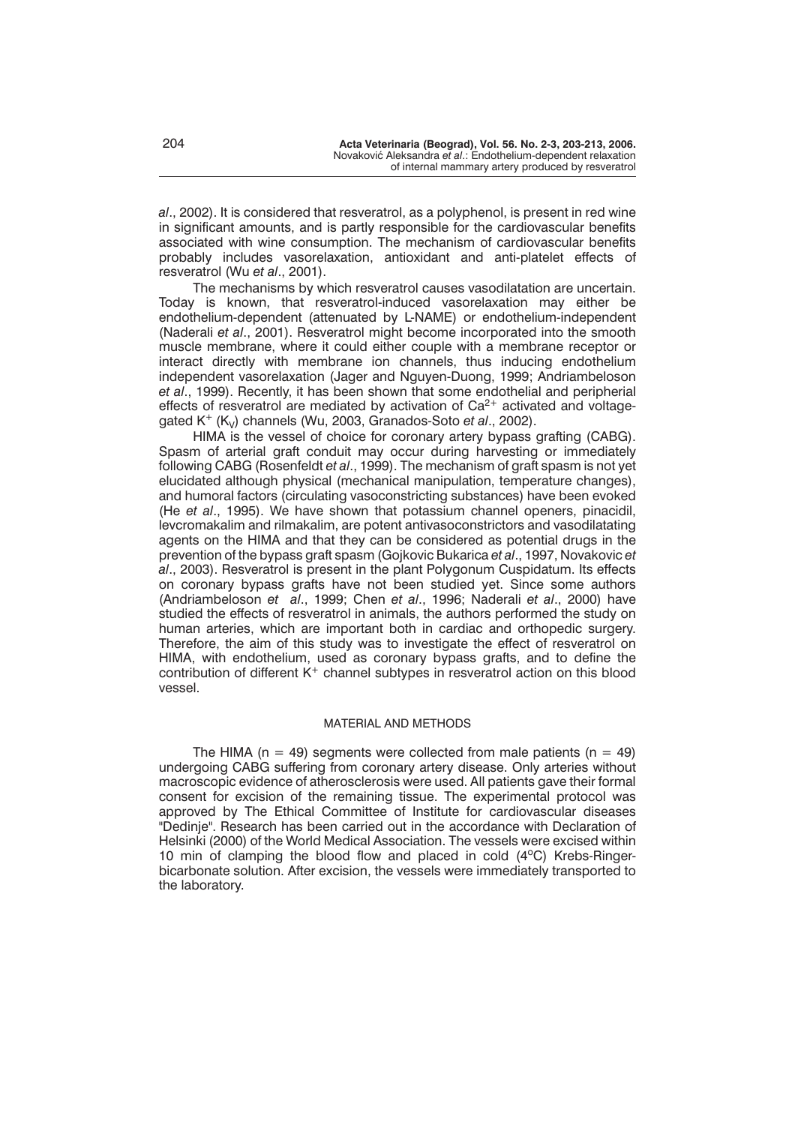*al*., 2002). It is considered that resveratrol, as a polyphenol, is present in red wine in significant amounts, and is partly responsible for the cardiovascular benefits associated with wine consumption. The mechanism of cardiovascular benefits probably includes vasorelaxation, antioxidant and anti-platelet effects of resveratrol (Wu *et al*., 2001).

The mechanisms by which resveratrol causes vasodilatation are uncertain. Today is known, that resveratrol-induced vasorelaxation may either be endothelium-dependent (attenuated by L-NAME) or endothelium-independent (Naderali *et al*., 2001). Resveratrol might become incorporated into the smooth muscle membrane, where it could either couple with a membrane receptor or interact directly with membrane ion channels, thus inducing endothelium independent vasorelaxation (Jager and Nguyen-Duong, 1999; Andriambeloson *et al*., 1999). Recently, it has been shown that some endothelial and peripherial effects of resveratrol are mediated by activation of  $Ca<sup>2+</sup>$  activated and voltagegated K<sup>+</sup> (K<sub>V</sub>) channels (Wu, 2003, Granados-Soto *et al.*, 2002).

HIMA is the vessel of choice for coronary artery bypass grafting (CABG). Spasm of arterial graft conduit may occur during harvesting or immediately following CABG (Rosenfeldt *et al*., 1999). The mechanism of graft spasm is not yet elucidated although physical (mechanical manipulation, temperature changes), and humoral factors (circulating vasoconstricting substances) have been evoked (He *et al*., 1995). We have shown that potassium channel openers, pinacidil, levcromakalim and rilmakalim, are potent antivasoconstrictors and vasodilatating agents on the HIMA and that they can be considered as potential drugs in the prevention of the bypass graft spasm (Gojkovic Bukarica *et al*., 1997, Novakovic *et al*., 2003). Resveratrol is present in the plant Polygonum Cuspidatum. Its effects on coronary bypass grafts have not been studied yet. Since some authors (Andriambeloson *et al*., 1999; Chen *et al*., 1996; Naderali *et al*., 2000) have studied the effects of resveratrol in animals, the authors performed the study on human arteries, which are important both in cardiac and orthopedic surgery. Therefore, the aim of this study was to investigate the effect of resveratrol on HIMA, with endothelium, used as coronary bypass grafts, and to define the contribution of different  $K^+$  channel subtypes in resveratrol action on this blood vessel.

### MATERIAL AND METHODS

The HIMA ( $n = 49$ ) segments were collected from male patients ( $n = 49$ ) undergoing CABG suffering from coronary artery disease. Only arteries without macroscopic evidence of atherosclerosis were used. All patients gave their formal consent for excision of the remaining tissue. The experimental protocol was approved by The Ethical Committee of Institute for cardiovascular diseases "Dedinje". Research has been carried out in the accordance with Declaration of Helsinki (2000) of the World Medical Association. The vessels were excised within 10 min of clamping the blood flow and placed in cold  $(4^{\circ}C)$  Krebs-Ringerbicarbonate solution. After excision, the vessels were immediately transported to the laboratory.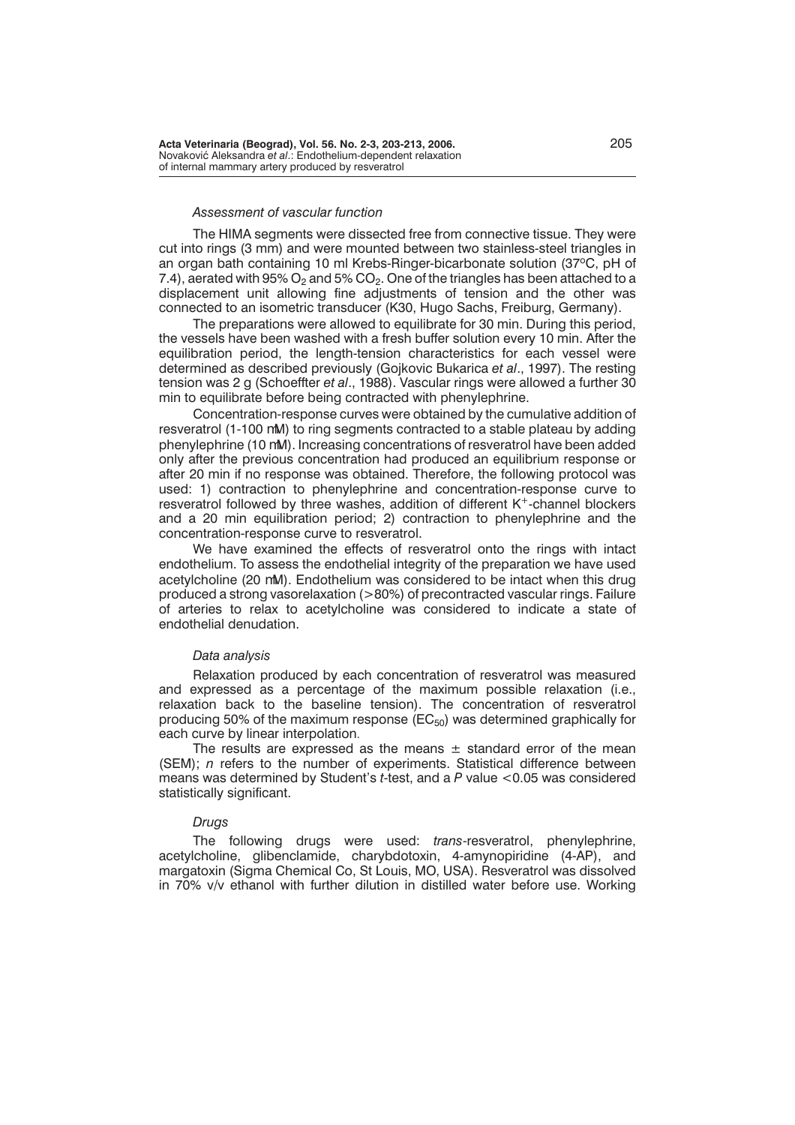### *Assessment of vascular function*

The HIMA segments were dissected free from connective tissue. They were cut into rings (3 mm) and were mounted between two stainless-steel triangles in an organ bath containing 10 ml Krebs-Ringer-bicarbonate solution (37°C, pH of 7.4), aerated with 95%  $O_2$  and 5%  $CO_2$ . One of the triangles has been attached to a displacement unit allowing fine adjustments of tension and the other was connected to an isometric transducer (K30, Hugo Sachs, Freiburg, Germany).

The preparations were allowed to equilibrate for 30 min. During this period, the vessels have been washed with a fresh buffer solution every 10 min. After the equilibration period, the length-tension characteristics for each vessel were determined as described previously (Gojkovic Bukarica *et al*., 1997). The resting tension was 2 g (Schoeffter *et al*., 1988). Vascular rings were allowed a further 30 min to equilibrate before being contracted with phenylephrine.

Concentration-response curves were obtained by the cumulative addition of resveratrol (1-100 M) to ring segments contracted to a stable plateau by adding phenylephrine (10 M). Increasing concentrations of resveratrol have been added only after the previous concentration had produced an equilibrium response or after 20 min if no response was obtained. Therefore, the following protocol was used: 1) contraction to phenylephrine and concentration-response curve to resveratrol followed by three washes, addition of different K<sup>+</sup>-channel blockers and a 20 min equilibration period; 2) contraction to phenylephrine and the concentration-response curve to resveratrol.

We have examined the effects of resveratrol onto the rings with intact endothelium. To assess the endothelial integrity of the preparation we have used acetylcholine (20 M). Endothelium was considered to be intact when this drug produced a strong vasorelaxation (>80%) of precontracted vascular rings. Failure of arteries to relax to acetylcholine was considered to indicate a state of endothelial denudation.

#### *Data analysis*

Relaxation produced by each concentration of resveratrol was measured and expressed as a percentage of the maximum possible relaxation (i.e., relaxation back to the baseline tension). The concentration of resveratrol producing 50% of the maximum response  $(EC_{50})$  was determined graphically for each curve by linear interpolation.

The results are expressed as the means  $\pm$  standard error of the mean (SEM); *n* refers to the number of experiments. Statistical difference between means was determined by Student's *t*-test, and a *P* value <0.05 was considered statistically significant.

### *Drugs*

The following drugs were used: *trans*-resveratrol, phenylephrine, acetylcholine, glibenclamide, charybdotoxin, 4-amynopiridine (4-AP), and margatoxin (Sigma Chemical Co, St Louis, MO, USA). Resveratrol was dissolved in 70% v/v ethanol with further dilution in distilled water before use. Working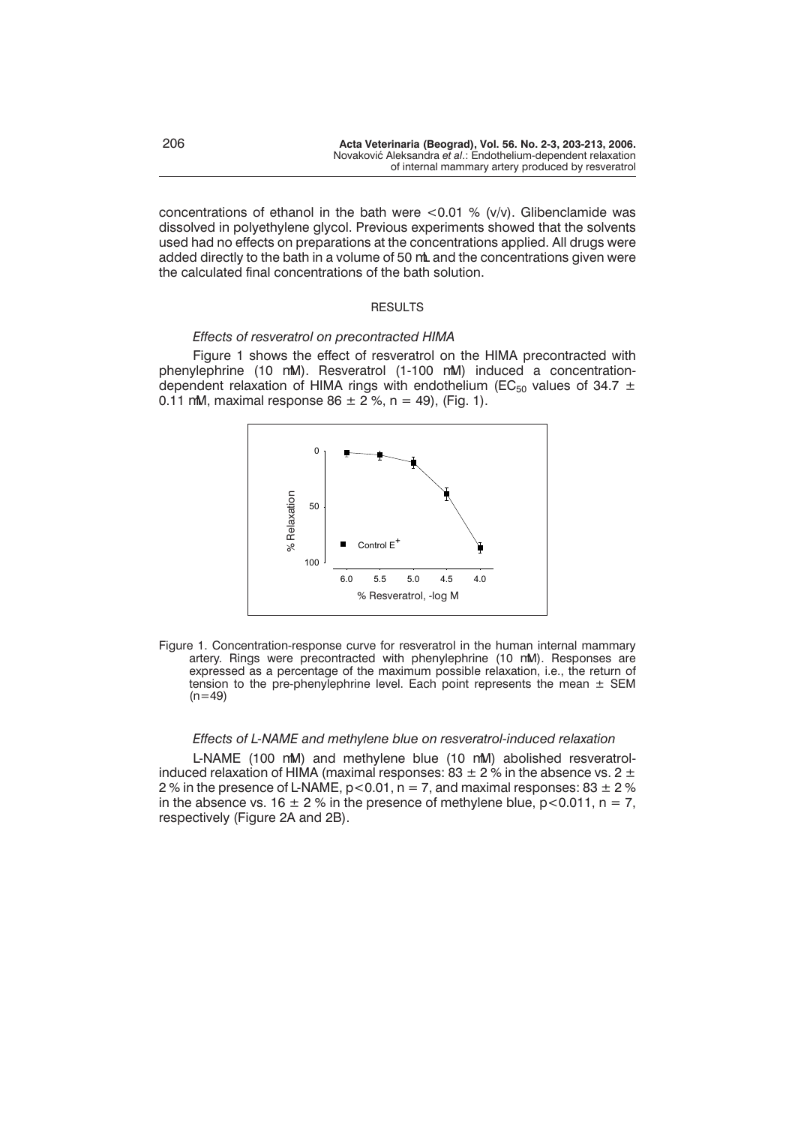concentrations of ethanol in the bath were  $< 0.01$  % (v/v). Glibenclamide was dissolved in polyethylene glycol. Previous experiments showed that the solvents used had no effects on preparations at the concentrations applied. All drugs were added directly to the bath in a volume of 50 L and the concentrations given were the calculated final concentrations of the bath solution.

### RESULTS

#### *Effects of resveratrol on precontracted HIMA*

Figure 1 shows the effect of resveratrol on the HIMA precontracted with phenylephrine (10 M). Resveratrol (1-100 M) induced a concentrationdependent relaxation of HIMA rings with endothelium (EC<sub>50</sub> values of 34.7  $\pm$ 0.11 M, maximal response  $86 \pm 2$  %, n = 49), (Fig. 1).



Figure 1. Concentration-response curve for resveratrol in the human internal mammary artery. Rings were precontracted with phenylephrine (10 M). Responses are expressed as a percentage of the maximum possible relaxation, i.e., the return of tension to the pre-phenylephrine level. Each point represents the mean  $\pm$  SEM  $(n=49)$ 

## *Effects of L-NAME and methylene blue on resveratrol-induced relaxation*

L-NAME (100 M) and methylene blue (10 M) abolished resveratrolinduced relaxation of HIMA (maximal responses:  $83 \pm 2$  % in the absence vs. 2  $\pm$ 2% in the presence of L-NAME,  $p < 0.01$ ,  $n = 7$ , and maximal responses: 83  $\pm$  2% in the absence vs. 16  $\pm$  2 % in the presence of methylene blue, p < 0.011, n = 7, respectively (Figure 2A and 2B).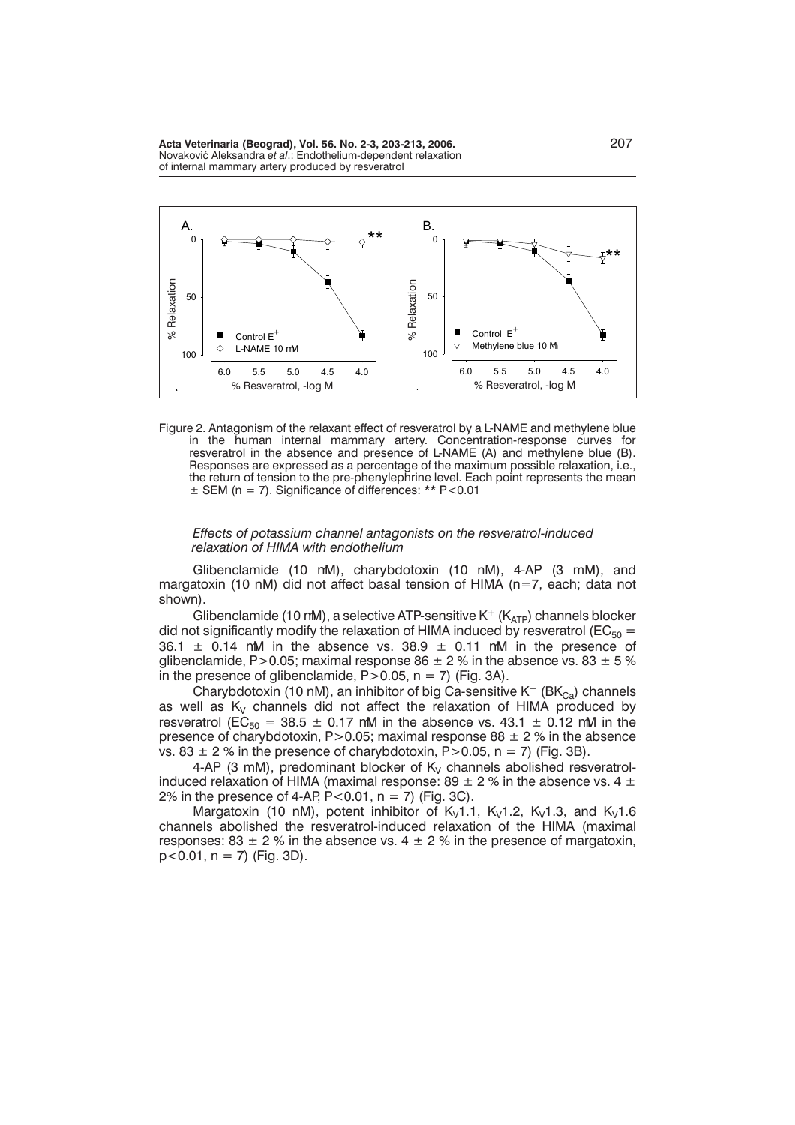**Acta Veterinaria (Beograd), Vol. 56. No. 2-3, 203-213, 2006.** 207 Novakovi} Aleksandra *et al*.: Endothelium-dependent relaxation of internal mammary artery produced by resveratrol



Figure 2. Antagonism of the relaxant effect of resveratrol by a L-NAME and methylene blue in the human internal mammary artery. Concentration-response curves for resveratrol in the absence and presence of L-NAME (A) and methylene blue (B). Responses are expressed as a percentage of the maximum possible relaxation, i.e., the return of tension to the pre-phenylephrine level. Each point represents the mean  $\pm$  SEM (n = 7). Significance of differences: \*\* P<0.01

## *Effects of potassium channel antagonists on the resveratrol-induced relaxation of HIMA with endothelium*

Glibenclamide (10 M), charybdotoxin (10 nM), 4-AP (3 mM), and margatoxin (10 nM) did not affect basal tension of HIMA (n=7, each; data not shown).

Glibenclamide (10 M), a selective ATP-sensitive  $K^+$  ( $K_{ATP}$ ) channels blocker did not significantly modify the relaxation of HIMA induced by resveratrol ( $EC_{50}$  =  $36.1 \pm 0.14$  M in the absence vs.  $38.9 \pm 0.11$  M in the presence of glibenclamide, P>0.05; maximal response 86  $\pm$  2 % in the absence vs. 83  $\pm$  5 % in the presence of glibenclamide,  $P>0.05$ ,  $n = 7$ ) (Fig. 3A).

Charybdotoxin (10 nM), an inhibitor of big Ca-sensitive  $K^+$  (B $K_{Ca}$ ) channels as well as  $K_V$  channels did not affect the relaxation of HIMA produced by resveratrol (EC<sub>50</sub> = 38.5  $\pm$  0.17 M in the absence vs. 43.1  $\pm$  0.12 M in the presence of charybdotoxin, P>0.05; maximal response 88  $\pm$  2 % in the absence vs. 83  $\pm$  2 % in the presence of charybdotoxin, P > 0.05, n = 7) (Fig. 3B).

4-AP (3 mM), predominant blocker of  $K_V$  channels abolished resveratrolinduced relaxation of HIMA (maximal response: 89  $\pm$  2 % in the absence vs. 4  $\pm$ 2% in the presence of 4-AP,  $P < 0.01$ ,  $n = 7$ ) (Fig. 3C).

Margatoxin (10 nM), potent inhibitor of  $K_v1.1$ ,  $K_v1.2$ ,  $K_v1.3$ , and  $K_v1.6$ channels abolished the resveratrol-induced relaxation of the HIMA (maximal responses: 83  $\pm$  2 % in the absence vs. 4  $\pm$  2 % in the presence of margatoxin,  $p < 0.01$ ,  $n = 7$ ) (Fig. 3D).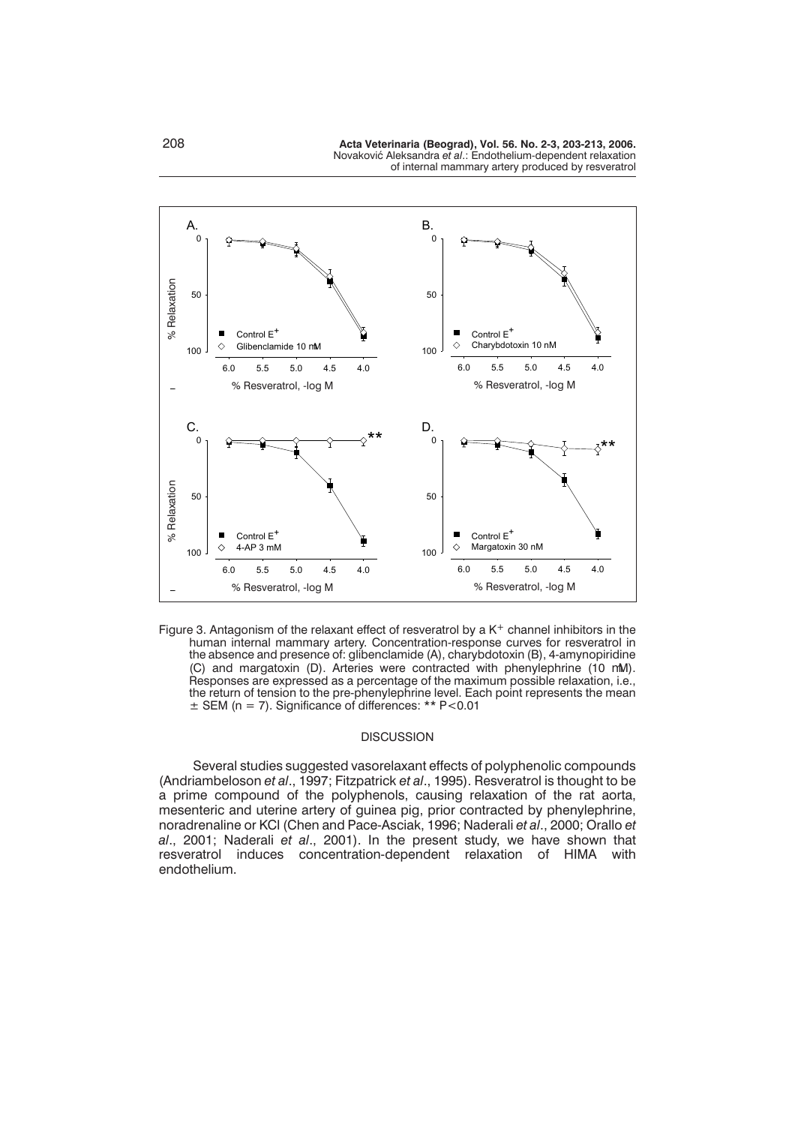



### DISCUSSION

Several studies suggested vasorelaxant effects of polyphenolic compounds (Andriambeloson *et al*., 1997; Fitzpatrick *et al*., 1995). Resveratrol is thought to be a prime compound of the polyphenols, causing relaxation of the rat aorta, mesenteric and uterine artery of guinea pig, prior contracted by phenylephrine, noradrenaline or KCl (Chen and Pace-Asciak, 1996; Naderali *et al*., 2000; Orallo *et al*., 2001; Naderali *et al*., 2001). In the present study, we have shown that resveratrol induces concentration-dependent relaxation of HIMA with endothelium.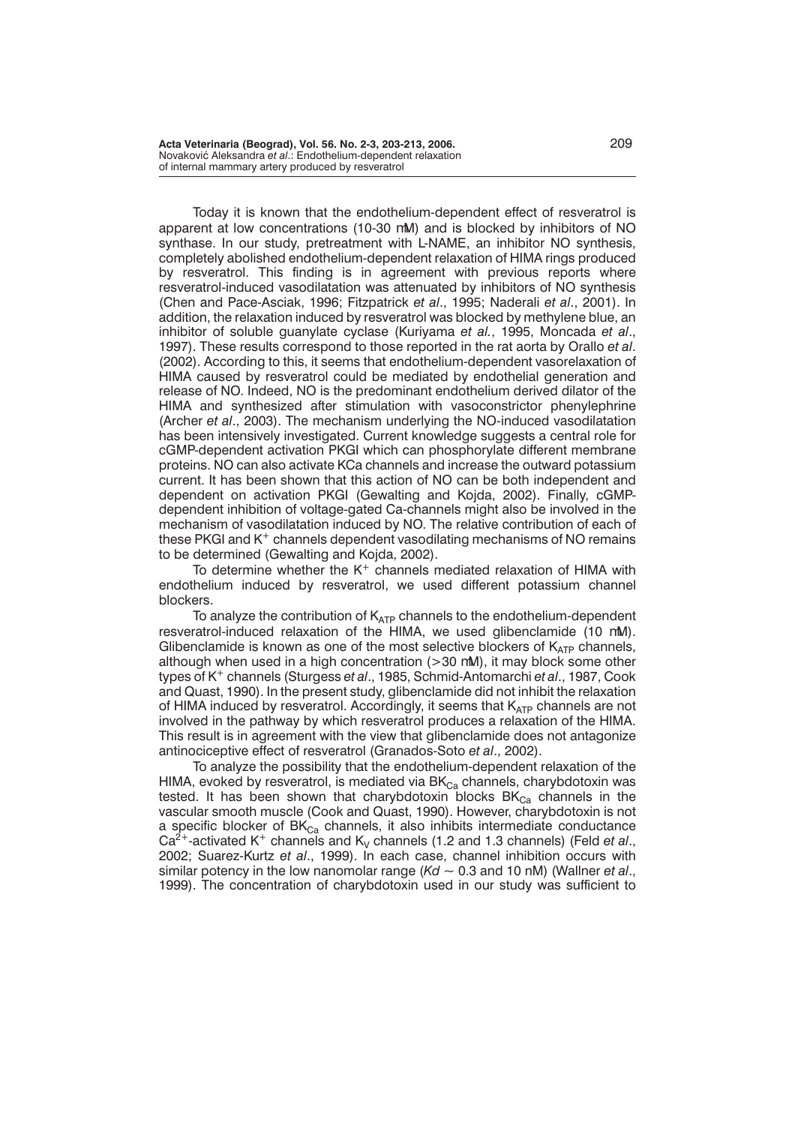Today it is known that the endothelium-dependent effect of resveratrol is apparent at low concentrations (10-30 M) and is blocked by inhibitors of NO synthase. In our study, pretreatment with L-NAME, an inhibitor NO synthesis, completely abolished endothelium-dependent relaxation of HIMA rings produced by resveratrol. This finding is in agreement with previous reports where resveratrol-induced vasodilatation was attenuated by inhibitors of NO synthesis (Chen and Pace-Asciak, 1996; Fitzpatrick *et al*., 1995; Naderali *et al*., 2001). In addition, the relaxation induced by resveratrol was blocked by methylene blue, an inhibitor of soluble guanylate cyclase (Kuriyama *et al.*, 1995, Moncada *et al*., 1997). These results correspond to those reported in the rat aorta by Orallo *et al*. (2002). According to this, it seems that endothelium-dependent vasorelaxation of HIMA caused by resveratrol could be mediated by endothelial generation and release of NO. Indeed, NO is the predominant endothelium derived dilator of the HIMA and synthesized after stimulation with vasoconstrictor phenylephrine (Archer *et al*., 2003). The mechanism underlying the NO-induced vasodilatation has been intensively investigated. Current knowledge suggests a central role for cGMP-dependent activation PKGI which can phosphorylate different membrane proteins. NO can also activate KCa channels and increase the outward potassium current. It has been shown that this action of NO can be both independent and dependent on activation PKGI (Gewalting and Kojda, 2002). Finally, cGMPdependent inhibition of voltage-gated Ca-channels might also be involved in the mechanism of vasodilatation induced by NO. The relative contribution of each of these PKGI and  $K^+$  channels dependent vasodilating mechanisms of NO remains to be determined (Gewalting and Kojda, 2002).

To determine whether the  $K^+$  channels mediated relaxation of HIMA with endothelium induced by resveratrol, we used different potassium channel blockers.

To analyze the contribution of  $K_{ATP}$  channels to the endothelium-dependent resveratrol-induced relaxation of the HIMA, we used glibenclamide (10 M). Glibenclamide is known as one of the most selective blockers of  $K_{ATP}$  channels, although when used in a high concentration (>30 M), it may block some other types of K<sup>+</sup> channels (Sturgess *et al*., 1985, Schmid-Antomarchi *et al*., 1987, Cook and Quast, 1990). In the present study, glibenclamide did not inhibit the relaxation of HIMA induced by resveratrol. Accordingly, it seems that  $K_{ATP}$  channels are not involved in the pathway by which resveratrol produces a relaxation of the HIMA. This result is in agreement with the view that glibenclamide does not antagonize antinociceptive effect of resveratrol (Granados-Soto *et al*., 2002).

To analyze the possibility that the endothelium-dependent relaxation of the HIMA, evoked by resveratrol, is mediated via  $BK_{Ca}$  channels, charybdotoxin was tested. It has been shown that charybdotoxin blocks  $BK_{Ca}$  channels in the vascular smooth muscle (Cook and Quast, 1990). However, charybdotoxin is not a specific blocker of  $BK_{Ca}$  channels, it also inhibits intermediate conductance Ca<sup>2+</sup>-activated K<sup>+</sup> channels and K<sub>V</sub> channels (1.2 and 1.3 channels) (Feld *et al.*, 2002; Suarez-Kurtz *et al*., 1999). In each case, channel inhibition occurs with similar potency in the low nanomolar range ( $Kd \sim 0.3$  and 10 nM) (Wallner *et al.*, 1999). The concentration of charybdotoxin used in our study was sufficient to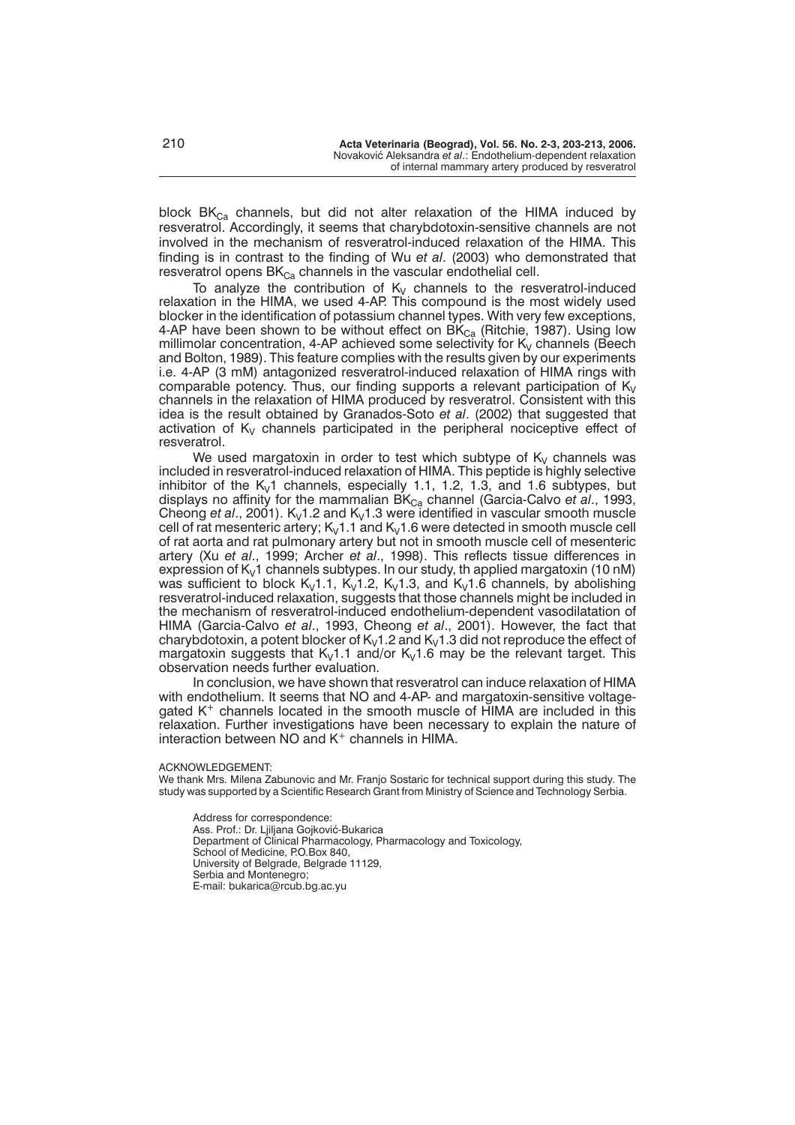block  $BK_{Ca}$  channels, but did not alter relaxation of the HIMA induced by resveratrol. Accordingly, it seems that charybdotoxin-sensitive channels are not involved in the mechanism of resveratrol-induced relaxation of the HIMA. This finding is in contrast to the finding of Wu *et al*. (2003) who demonstrated that resveratrol opens  $BK_{Ca}$  channels in the vascular endothelial cell.

To analyze the contribution of  $K_V$  channels to the resveratrol-induced relaxation in the HIMA, we used 4-AP. This compound is the most widely used blocker in the identification of potassium channel types. With very few exceptions, 4-AP have been shown to be without effect on  $\overline{\textsf{BK}}_{\textsf{Ca}}$  (Ritchie, 1987). Using low millimolar concentration, 4-AP achieved some selectivity for  $K<sub>V</sub>$  channels (Beech and Bolton, 1989). This feature complies with the results given by our experiments i.e. 4-AP (3 mM) antagonized resveratrol-induced relaxation of HIMA rings with comparable potency. Thus, our finding supports a relevant participation of  $K_V$ channels in the relaxation of HIMA produced by resveratrol. Consistent with this idea is the result obtained by Granados-Soto *et al*. (2002) that suggested that activation of  $K_V$  channels participated in the peripheral nociceptive effect of resveratrol.

We used margatoxin in order to test which subtype of  $K_V$  channels was included in resveratrol-induced relaxation of HIMA. This peptide is highly selective inhibitor of the K<sub>V</sub>1 channels, especially 1.1, 1.2, 1.3, and 1.6 subtypes, but displays no affinity for the mammalian BK<sub>Ca</sub> channel (Garcia-Calvo *et al.*, 1993, Cheong *et al.*, 2001). K<sub>V</sub>1.2 and K<sub>V</sub>1.3 were identified in vascular smooth muscle cell of rat mesenteric artery;  $K_V1.1$  and  $K_V1.6$  were detected in smooth muscle cell of rat aorta and rat pulmonary artery but not in smooth muscle cell of mesenteric artery (Xu *et al*., 1999; Archer *et al*., 1998). This reflects tissue differences in expression of K<sub>V</sub>1 channels subtypes. In our study, th applied margatoxin (10 nM) was sufficient to block  $K_v$ 1.1,  $K_v$ 1.2,  $K_v$ 1.3, and  $K_v$ 1.6 channels, by abolishing resveratrol-induced relaxation, suggests that those channels might be included in the mechanism of resveratrol-induced endothelium-dependent vasodilatation of HIMA (Garcia-Calvo *et al*., 1993, Cheong *et al*., 2001). However, the fact that charybdotoxin, a potent blocker of  $K<sub>V</sub>1.2$  and  $K<sub>V</sub>1.3$  did not reproduce the effect of margatoxin suggests that  $K_v1.1$  and/or  $K_v1.6$  may be the relevant target. This observation needs further evaluation.

In conclusion, we have shown that resveratrol can induce relaxation of HIMA with endothelium. It seems that NO and 4-AP- and margatoxin-sensitive voltagegated  $K^+$  channels located in the smooth muscle of  $\overline{H}$ IMA are included in this relaxation. Further investigations have been necessary to explain the nature of interaction between NO and  $K^+$  channels in HIMA.

ACKNOWLEDGEMENT:

We thank Mrs. Milena Zabunovic and Mr. Franjo Sostaric for technical support during this study. The study was supported by a Scientific Research Grant from Ministry of Science and Technology Serbia.

Address for correspondence: Ass. Prof.: Dr. Ljiljana Gojković-Bukarica Department of Clinical Pharmacology, Pharmacology and Toxicology, School of Medicine, P.O.Box 840, University of Belgrade, Belgrade 11129, Serbia and Montenegro; E-mail: bukarica@rcub.bg.ac.yu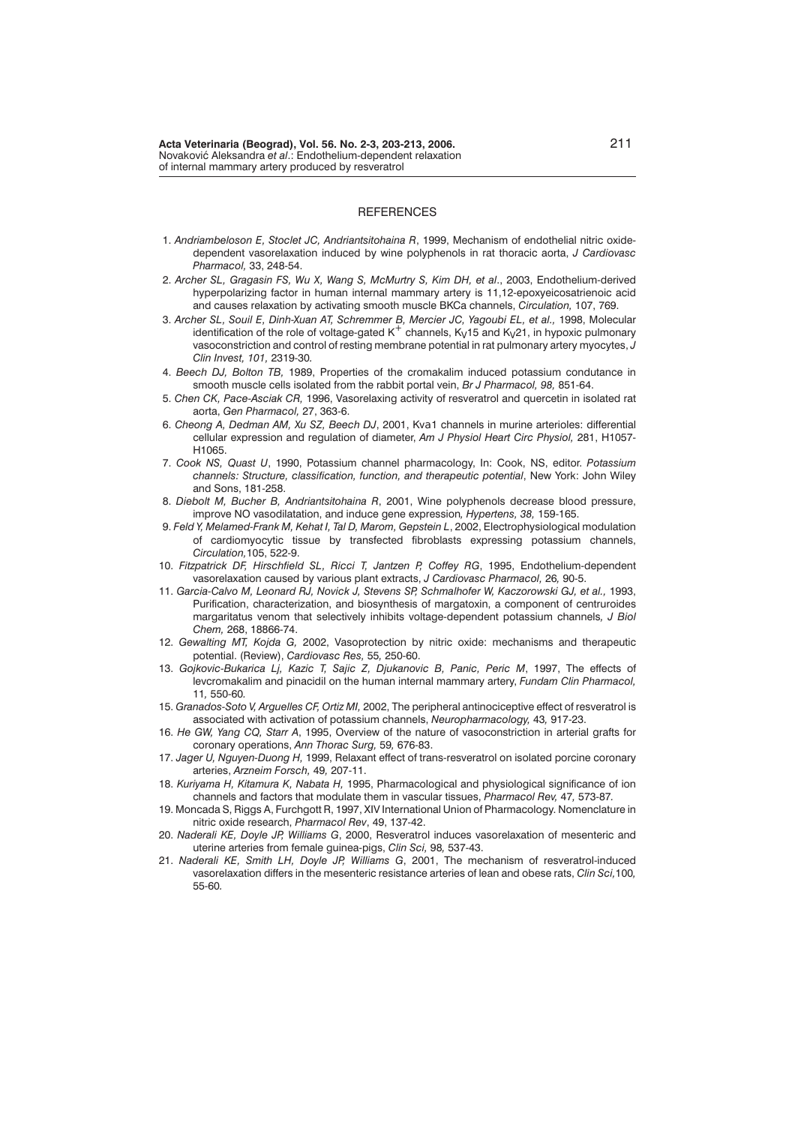#### **REFERENCES**

- 1. *Andriambeloson E, Stoclet JC, Andriantsitohaina R*, 1999, Mechanism of endothelial nitric oxidedependent vasorelaxation induced by wine polyphenols in rat thoracic aorta, *J Cardiovasc Pharmacol,* 33, 248-54.
- 2. *Archer SL, Gragasin FS, Wu X, Wang S, McMurtry S, Kim DH, et al*., 2003, Endothelium-derived hyperpolarizing factor in human internal mammary artery is 11,12-epoxyeicosatrienoic acid and causes relaxation by activating smooth muscle BKCa channels, *Circulation,* 107, 769.
- 3. *Archer SL, Souil E, Dinh-Xuan AT, Schremmer B, Mercier JC, Yagoubi EL, et al.,* 1998, Molecular identification of the role of voltage-gated  $K^+$  channels,  $K_V$ 15 and  $K_V$ 21, in hypoxic pulmonary vasoconstriction and control of resting membrane potential in rat pulmonary artery myocytes, *J Clin Invest, 101,* 2319-30*.*
- 4. *Beech DJ, Bolton TB,* 1989, Properties of the cromakalim induced potassium condutance in smooth muscle cells isolated from the rabbit portal vein, *Br J Pharmacol, 98,* 851-64.
- 5. *Chen CK, Pace-Asciak CR,* 1996, Vasorelaxing activity of resveratrol and quercetin in isolated rat aorta, *Gen Pharmacol,* 27, 363-6.
- 6. *Cheong A, Dedman AM, Xu SZ, Beech DJ*, 2001, Kv 1 channels in murine arterioles: differential cellular expression and regulation of diameter, *Am J Physiol Heart Circ Physiol,* 281, H1057- H1065.
- 7. *Cook NS, Quast U*, 1990, Potassium channel pharmacology, In: Cook, NS, editor. *Potassium channels: Structure, classification, function, and therapeutic potential*, New York: John Wiley and Sons, 181-258.
- 8. *Diebolt M, Bucher B, Andriantsitohaina R*, 2001, Wine polyphenols decrease blood pressure, improve NO vasodilatation, and induce gene expression*, Hypertens, 38,* 159-165.
- 9. *Feld Y, Melamed-Frank M, Kehat I, Tal D, Marom, Gepstein L*, 2002, Electrophysiological modulation of cardiomyocytic tissue by transfected fibroblasts expressing potassium channels, *Circulation,*105, 522-9.
- 10. *Fitzpatrick DF, Hirschfield SL, Ricci T, Jantzen P, Coffey RG*, 1995, Endothelium-dependent vasorelaxation caused by various plant extracts, *J Cardiovasc Pharmacol,* 26*,* 90-5.
- 11. *Garcia-Calvo M, Leonard RJ, Novick J, Stevens SP, Schmalhofer W, Kaczorowski GJ, et al.,* 1993, Purification, characterization, and biosynthesis of margatoxin, a component of centruroides margaritatus venom that selectively inhibits voltage-dependent potassium channels*, J Biol Chem,* 268, 18866-74.
- 12. *Gewalting MT, Kojda G,* 2002, Vasoprotection by nitric oxide: mechanisms and therapeutic potential. (Review), *Cardiovasc Res,* 55*,* 250-60.
- 13. *Gojkovic-Bukarica Lj, Kazic T, Sajic Z, Djukanovic B, Panic, Peric M*, 1997, The effects of levcromakalim and pinacidil on the human internal mammary artery, *Fundam Clin Pharmacol,* 11*,* 550-60*.*
- 15. *Granados-Soto V, Arguelles CF, Ortiz MI,* 2002, The peripheral antinociceptive effect of resveratrol is associated with activation of potassium channels, *Neuropharmacology,* 43*,* 917-23.
- 16. *He GW, Yang CQ, Starr A*, 1995, Overview of the nature of vasoconstriction in arterial grafts for coronary operations, *Ann Thorac Surg,* 59*,* 676-83.
- 17. *Jager U, Nguyen-Duong H,* 1999, Relaxant effect of trans-resveratrol on isolated porcine coronary arteries, *Arzneim Forsch,* 49*,* 207-11.
- 18. *Kuriyama H, Kitamura K, Nabata H,* 1995, Pharmacological and physiological significance of ion channels and factors that modulate them in vascular tissues, *Pharmacol Rev,* 47*,* 573-87*.*
- 19. Moncada S, Riggs A, Furchgott R, 1997, XIV International Union of Pharmacology. Nomenclature in nitric oxide research, *Pharmacol Rev*, 49, 137-42.
- 20. *Naderali KE, Doyle JP, Williams G*, 2000, Resveratrol induces vasorelaxation of mesenteric and uterine arteries from female guinea-pigs, *Clin Sci,* 98*,* 537-43.
- 21. *Naderali KE, Smith LH, Doyle JP, Williams G*, 2001, The mechanism of resveratrol-induced vasorelaxation differs in the mesenteric resistance arteries of lean and obese rats, *Clin Sci,*100*,* 55-60*.*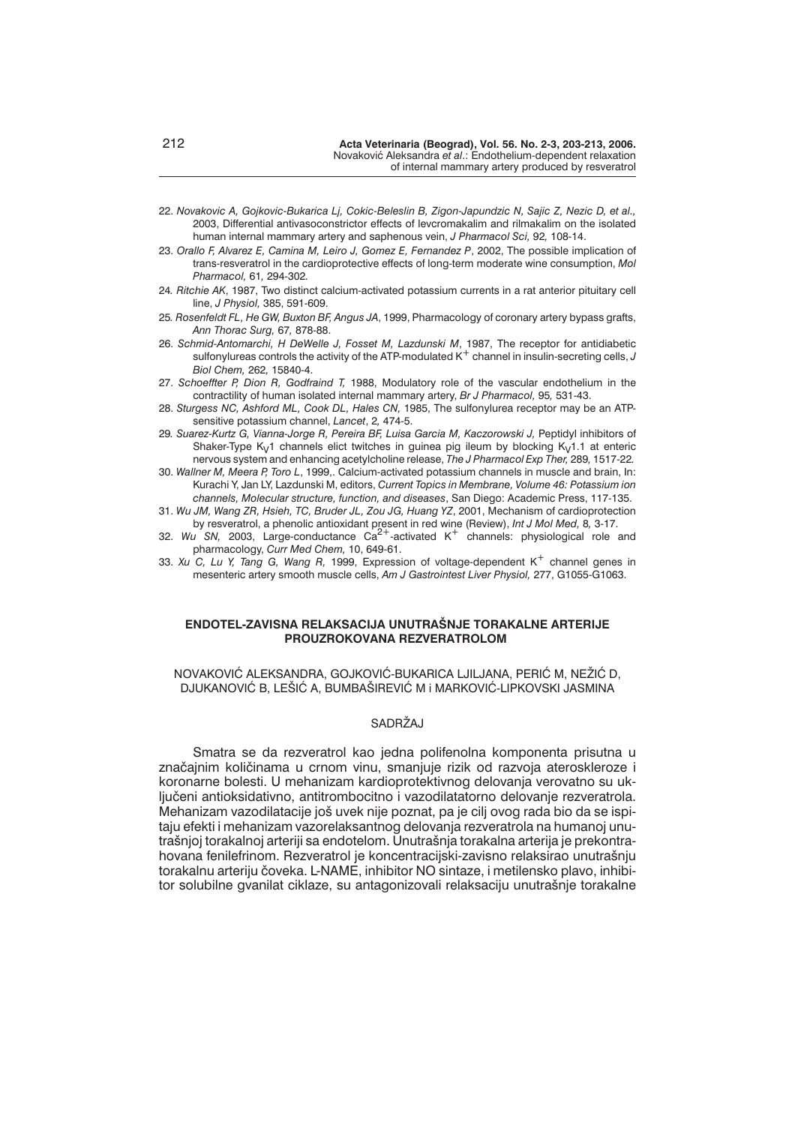- 22. *Novakovic A, Gojkovic-Bukarica Lj, Cokic-Beleslin B, Zigon-Japundzic N, Sajic Z, Nezic D, et al.,* 2003, Differential antivasoconstrictor effects of levcromakalim and rilmakalim on the isolated human internal mammary artery and saphenous vein, *J Pharmacol Sci,* 92*,* 108-14.
- 23. *Orallo F, Alvarez E, Camina M, Leiro J, Gomez E, Fernandez P*, 2002, The possible implication of trans-resveratrol in the cardioprotective effects of long-term moderate wine consumption, *Mol Pharmacol,* 61*,* 294-302*.*
- 24*. Ritchie AK*, 1987, Two distinct calcium-activated potassium currents in a rat anterior pituitary cell line, *J Physiol,* 385, 591-609.
- 25*. Rosenfeldt FL, He GW, Buxton BF, Angus JA*, 1999, Pharmacology of coronary artery bypass grafts, *Ann Thorac Surg,* 67*,* 878-88.
- 26. *Schmid-Antomarchi, H DeWelle J, Fosset M, Lazdunski M*, 1987, The receptor for antidiabetic sulfonylureas controls the activity of the ATP-modulated  $K^+$  channel in insulin-secreting cells,  $J$ *Biol Chem,* 262*,* 15840-4.
- 27. *Schoeffter P, Dion R, Godfraind T,* 1988, Modulatory role of the vascular endothelium in the contractility of human isolated internal mammary artery, *Br J Pharmacol,* 95*,* 531-43.
- 28. *Sturgess NC, Ashford ML, Cook DL, Hales CN,* 1985, The sulfonylurea receptor may be an ATPsensitive potassium channel, *Lancet*, 2*,* 474-5.
- 29*. Suarez-Kurtz G, Vianna-Jorge R, Pereira BF, Luisa Garcia M, Kaczorowski J,* Peptidyl inhibitors of Shaker-Type K<sub>V</sub>1 channels elict twitches in guinea pig ileum by blocking K<sub>V</sub>1.1 at enteric nervous system and enhancing acetylcholine release, *The J Pharmacol Exp Ther,* 289*,* 1517-22*.*
- 30. *Wallner M, Meera P, Toro L*, 1999,. Calcium-activated potassium channels in muscle and brain, In: Kurachi Y, Jan LY, Lazdunski M, editors, *Current Topics in Membrane, Volume 46: Potassium ion channels, Molecular structure, function, and diseases*, San Diego: Academic Press, 117-135.
- 31. *Wu JM, Wang ZR, Hsieh, TC, Bruder JL, Zou JG, Huang YZ*, 2001, Mechanism of cardioprotection
- by resveratrol, a phenolic antioxidant present in red wine (Review), *Int J Mol Med,* 8, 3-17.<br>32. Wu SN, 2003, Large-conductance Ca<sup>2+</sup>-activated K<sup>+</sup> channels: physiological role and pharmacology, *Curr Med Chem,* 10, 649-61.
- 33. *Xu C, Lu Y, Tang G, Wang R,* 1999, Expression of voltage-dependent K<sup>+</sup> channel genes in mesenteric artery smooth muscle cells, *Am J Gastrointest Liver Physiol,* 277, G1055-G1063.

### **ENDOTEL-ZAVISNA RELAKSACIJA UNUTRAŠNJE TORAKALNE ARTERIJE PROUZROKOVANA REZVERATROLOM**

### NOVAKOVIĆ ALEKSANDRA, GOJKOVIĆ-BUKARICA LJILJANA, PERIĆ M, NEŽIĆ D, DJUKANOVIĆ B, LEŠIĆ A, BUMBAŠIREVIĆ M i MARKOVIĆ-LIPKOVSKI JASMINA

## **SADRŽAJ**

Smatra se da rezveratrol kao jedna polifenolna komponenta prisutna u značajnim količinama u crnom vinu, smanjuje rizik od razvoja ateroskleroze i koronarne bolesti. U mehanizam kardioprotektivnog delovanja verovatno su uključeni antioksidativno, antitrombocitno i vazodilatatorno delovanje rezveratrola. Mehanizam vazodilatacije još uvek nije poznat, pa je cilj ovog rada bio da se ispitaju efekti i mehanizam vazorelaksantnog delovanja rezveratrola na humanoj unutra{njoj torakalnoj arteriji sa endotelom. Unutra{nja torakalna arterija je prekontrahovana fenilefrinom. Rezveratrol je koncentracijski-zavisno relaksirao unutra{nju torakalnu arteriju čoveka. L-NAME, inhibitor NO sintaze, i metilensko plavo, inhibitor solubilne gvanilat ciklaze, su antagonizovali relaksaciju unutrašnje torakalne